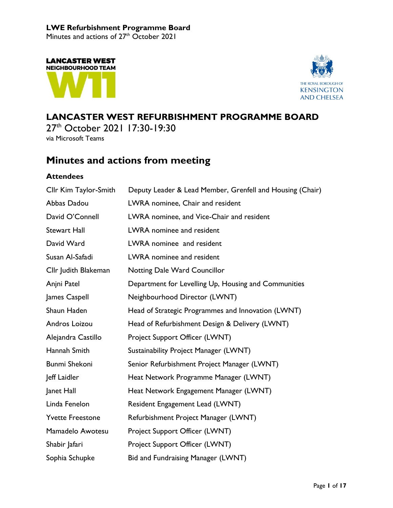Minutes and actions of  $27<sup>th</sup>$  October 2021





## **LANCASTER WEST REFURBISHMENT PROGRAMME BOARD**

27<sup>th</sup> October 2021 17:30-19:30 via Microsoft Teams

## **Minutes and actions from meeting**

## **Attendees**

| Cllr Kim Taylor-Smith   | Deputy Leader & Lead Member, Grenfell and Housing (Chair) |  |  |
|-------------------------|-----------------------------------------------------------|--|--|
| Abbas Dadou             | LWRA nominee, Chair and resident                          |  |  |
| David O'Connell         | LWRA nominee, and Vice-Chair and resident                 |  |  |
| <b>Stewart Hall</b>     | LWRA nominee and resident                                 |  |  |
| David Ward              | LWRA nominee and resident                                 |  |  |
| Susan Al-Safadi         | LWRA nominee and resident                                 |  |  |
| Cllr Judith Blakeman    | <b>Notting Dale Ward Councillor</b>                       |  |  |
| Anjni Patel             | Department for Levelling Up, Housing and Communities      |  |  |
| James Caspell           | Neighbourhood Director (LWNT)                             |  |  |
| Shaun Haden             | Head of Strategic Programmes and Innovation (LWNT)        |  |  |
| Andros Loizou           | Head of Refurbishment Design & Delivery (LWNT)            |  |  |
| Alejandra Castillo      | Project Support Officer (LWNT)                            |  |  |
| Hannah Smith            | Sustainability Project Manager (LWNT)                     |  |  |
| <b>Bunmi Shekoni</b>    | Senior Refurbishment Project Manager (LWNT)               |  |  |
| Jeff Laidler            | Heat Network Programme Manager (LWNT)                     |  |  |
| Janet Hall              | Heat Network Engagement Manager (LWNT)                    |  |  |
| Linda Fenelon           | Resident Engagement Lead (LWNT)                           |  |  |
| <b>Yvette Freestone</b> | Refurbishment Project Manager (LWNT)                      |  |  |
| Mamadelo Awotesu        | Project Support Officer (LWNT)                            |  |  |
| Shabir Jafari           | Project Support Officer (LWNT)                            |  |  |
| Sophia Schupke          | Bid and Fundraising Manager (LWNT)                        |  |  |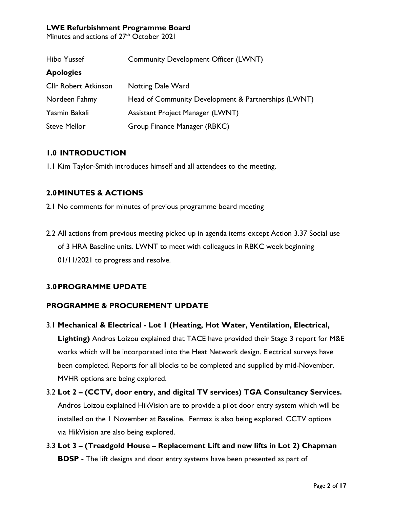Minutes and actions of 27<sup>th</sup> October 2021

| Hibo Yussef                 | <b>Community Development Officer (LWNT)</b>         |  |  |
|-----------------------------|-----------------------------------------------------|--|--|
| <b>Apologies</b>            |                                                     |  |  |
| <b>Cllr Robert Atkinson</b> | <b>Notting Dale Ward</b>                            |  |  |
| Nordeen Fahmy               | Head of Community Development & Partnerships (LWNT) |  |  |
| Yasmin Bakali               | Assistant Project Manager (LWNT)                    |  |  |
| <b>Steve Mellor</b>         | Group Finance Manager (RBKC)                        |  |  |

## **1.0 INTRODUCTION**

1.1 Kim Taylor-Smith introduces himself and all attendees to the meeting.

## **2.0MINUTES & ACTIONS**

2.1 No comments for minutes of previous programme board meeting

2.2 All actions from previous meeting picked up in agenda items except Action 3.37 Social use of 3 HRA Baseline units. LWNT to meet with colleagues in RBKC week beginning 01/11/2021 to progress and resolve.

## **3.0PROGRAMME UPDATE**

## **PROGRAMME & PROCUREMENT UPDATE**

- 3.1 **Mechanical & Electrical - Lot 1 (Heating, Hot Water, Ventilation, Electrical, Lighting)** Andros Loizou explained that TACE have provided their Stage 3 report for M&E works which will be incorporated into the Heat Network design. Electrical surveys have been completed. Reports for all blocks to be completed and supplied by mid-November. MVHR options are being explored.
- 3.2 **Lot 2 – (CCTV, door entry, and digital TV services) TGA Consultancy Services.** Andros Loizou explained HikVision are to provide a pilot door entry system which will be installed on the 1 November at Baseline. Fermax is also being explored. CCTV options via HikVision are also being explored.
- 3.3 **Lot 3 – (Treadgold House – Replacement Lift and new lifts in Lot 2) Chapman BDSP -** The lift designs and door entry systems have been presented as part of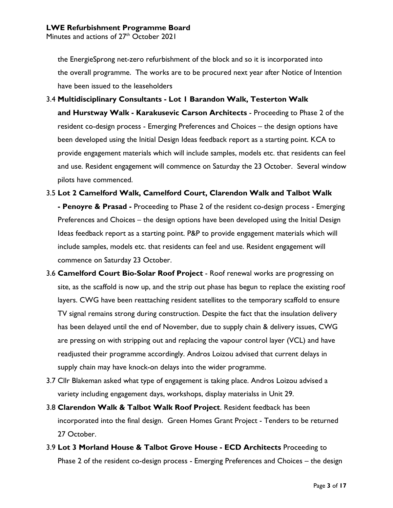Minutes and actions of 27<sup>th</sup> October 2021

the EnergieSprong net-zero refurbishment of the block and so it is incorporated into the overall programme. The works are to be procured next year after Notice of Intention have been issued to the leaseholders

- 3.4 **Multidisciplinary Consultants - Lot 1 Barandon Walk, Testerton Walk and Hurstway Walk - Karakusevic Carson Architects** - Proceeding to Phase 2 of the resident co-design process - Emerging Preferences and Choices – the design options have been developed using the Initial Design Ideas feedback report as a starting point. KCA to provide engagement materials which will include samples, models etc. that residents can feel and use. Resident engagement will commence on Saturday the 23 October. Several window pilots have commenced.
- 3.5 **Lot 2 Camelford Walk, Camelford Court, Clarendon Walk and Talbot Walk - Penoyre & Prasad -** Proceeding to Phase 2 of the resident co-design process - Emerging Preferences and Choices – the design options have been developed using the Initial Design Ideas feedback report as a starting point. P&P to provide engagement materials which will include samples, models etc. that residents can feel and use. Resident engagement will commence on Saturday 23 October.
- 3.6 **Camelford Court Bio-Solar Roof Project** Roof renewal works are progressing on site, as the scaffold is now up, and the strip out phase has begun to replace the existing roof layers. CWG have been reattaching resident satellites to the temporary scaffold to ensure TV signal remains strong during construction. Despite the fact that the insulation delivery has been delayed until the end of November, due to supply chain & delivery issues, CWG are pressing on with stripping out and replacing the vapour control layer (VCL) and have readjusted their programme accordingly. Andros Loizou advised that current delays in supply chain may have knock-on delays into the wider programme.
- 3.7 Cllr Blakeman asked what type of engagement is taking place. Andros Loizou advised a variety including engagement days, workshops, display materialss in Unit 29.
- 3.8 **Clarendon Walk & Talbot Walk Roof Project**. Resident feedback has been incorporated into the final design. Green Homes Grant Project - Tenders to be returned 27 October.
- 3.9 **Lot 3 Morland House & Talbot Grove House - ECD Architects** Proceeding to Phase 2 of the resident co-design process - Emerging Preferences and Choices – the design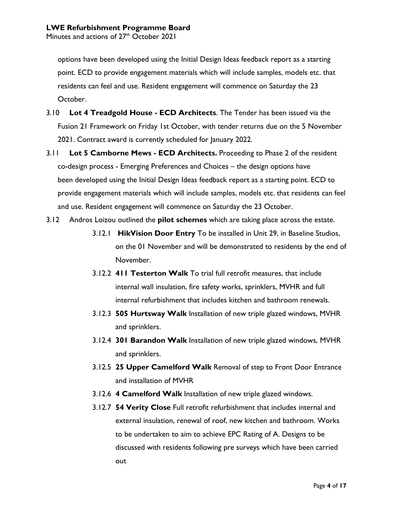options have been developed using the Initial Design Ideas feedback report as a starting point. ECD to provide engagement materials which will include samples, models etc. that residents can feel and use. Resident engagement will commence on Saturday the 23 October.

- 3.10 **Lot 4 Treadgold House - ECD Architects**. The Tender has been issued via the Fusion 21 Framework on Friday 1st October, with tender returns due on the 5 November 2021. Contract award is currently scheduled for January 2022.
- 3.11 **Lot 5 Camborne Mews - ECD Architects.** Proceeding to Phase 2 of the resident co-design process - Emerging Preferences and Choices – the design options have been developed using the Initial Design Ideas feedback report as a starting point. ECD to provide engagement materials which will include samples, models etc. that residents can feel and use. Resident engagement will commence on Saturday the 23 October.
- 3.12 Andros Loizou outlined the **pilot schemes** which are taking place across the estate.
	- 3.12.1 **HikVision Door Entry** To be installed in Unit 29, in Baseline Studios, on the 01 November and will be demonstrated to residents by the end of November.
	- 3.12.2 **411 Testerton Walk** To trial full retrofit measures, that include internal wall insulation, fire safety works, sprinklers, MVHR and full internal refurbishment that includes kitchen and bathroom renewals.
	- 3.12.3 **505 Hurtsway Walk** Installation of new triple glazed windows, MVHR and sprinklers.
	- 3.12.4 **301 Barandon Walk** Installation of new triple glazed windows, MVHR and sprinklers.
	- 3.12.5 **25 Upper Camelford Walk** Removal of step to Front Door Entrance and installation of MVHR
	- 3.12.6 **4 Camelford Walk** Installation of new triple glazed windows.
	- 3.12.7 **54 Verity Close** Full retrofit refurbishment that includes internal and external insulation, renewal of roof, new kitchen and bathroom. Works to be undertaken to aim to achieve EPC Rating of A. Designs to be discussed with residents following pre surveys which have been carried out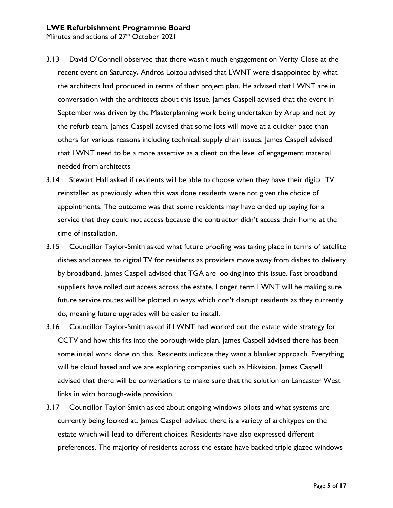- 3.13 David O'Connell observed that there wasn't much engagement on Verity Close at the recent event on Saturday**.** Andros Loizou advised that LWNT were disappointed by what the architects had produced in terms of their project plan. He advised that LWNT are in conversation with the architects about this issue. James Caspell advised that the event in September was driven by the Masterplanning work being undertaken by Arup and not by the refurb team. James Caspell advised that some lots will move at a quicker pace than others for various reasons including technical, supply chain issues. James Caspell advised that LWNT need to be a more assertive as a client on the level of engagement material needed from architects
- 3.14 Stewart Hall asked if residents will be able to choose when they have their digital TV reinstalled as previously when this was done residents were not given the choice of appointments. The outcome was that some residents may have ended up paying for a service that they could not access because the contractor didn't access their home at the time of installation.
- 3.15 Councillor Taylor-Smith asked what future proofing was taking place in terms of satellite dishes and access to digital TV for residents as providers move away from dishes to delivery by broadband. James Caspell advised that TGA are looking into this issue. Fast broadband suppliers have rolled out access across the estate. Longer term LWNT will be making sure future service routes will be plotted in ways which don't disrupt residents as they currently do, meaning future upgrades will be easier to install.
- 3.16 Councillor Taylor-Smith asked if LWNT had worked out the estate wide strategy for CCTV and how this fits into the borough-wide plan. James Caspell advised there has been some initial work done on this. Residents indicate they want a blanket approach. Everything will be cloud based and we are exploring companies such as Hikvision. James Caspell advised that there will be conversations to make sure that the solution on Lancaster West links in with borough-wide provision.
- 3.17 Councillor Taylor-Smith asked about ongoing windows pilots and what systems are currently being looked at. James Caspell advised there is a variety of architypes on the estate which will lead to different choices. Residents have also expressed different preferences. The majority of residents across the estate have backed triple glazed windows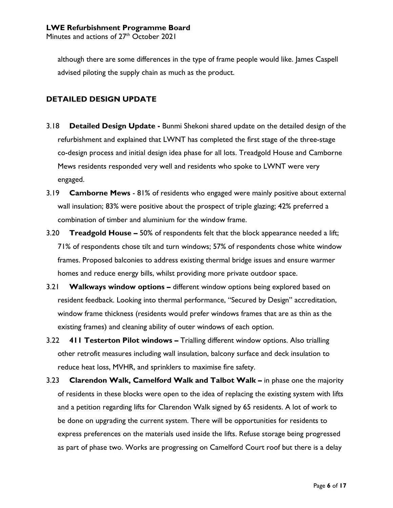although there are some differences in the type of frame people would like. James Caspell advised piloting the supply chain as much as the product.

## **DETAILED DESIGN UPDATE**

- 3.18 **Detailed Design Update -** Bunmi Shekoni shared update on the detailed design of the refurbishment and explained that LWNT has completed the first stage of the three-stage co-design process and initial design idea phase for all lots. Treadgold House and Camborne Mews residents responded very well and residents who spoke to LWNT were very engaged.
- 3.19 **Camborne Mews** 81% of residents who engaged were mainly positive about external wall insulation; 83% were positive about the prospect of triple glazing; 42% preferred a combination of timber and aluminium for the window frame.
- 3.20 **Treadgold House –** 50% of respondents felt that the block appearance needed a lift; 71% of respondents chose tilt and turn windows; 57% of respondents chose white window frames. Proposed balconies to address existing thermal bridge issues and ensure warmer homes and reduce energy bills, whilst providing more private outdoor space.
- 3.21 **Walkways window options –** different window options being explored based on resident feedback. Looking into thermal performance, "Secured by Design" accreditation, window frame thickness (residents would prefer windows frames that are as thin as the existing frames) and cleaning ability of outer windows of each option.
- 3.22 **411 Testerton Pilot windows –** Trialling different window options. Also trialling other retrofit measures including wall insulation, balcony surface and deck insulation to reduce heat loss, MVHR, and sprinklers to maximise fire safety.
- 3.23 **Clarendon Walk, Camelford Walk and Talbot Walk –** in phase one the majority of residents in these blocks were open to the idea of replacing the existing system with lifts and a petition regarding lifts for Clarendon Walk signed by 65 residents. A lot of work to be done on upgrading the current system. There will be opportunities for residents to express preferences on the materials used inside the lifts. Refuse storage being progressed as part of phase two. Works are progressing on Camelford Court roof but there is a delay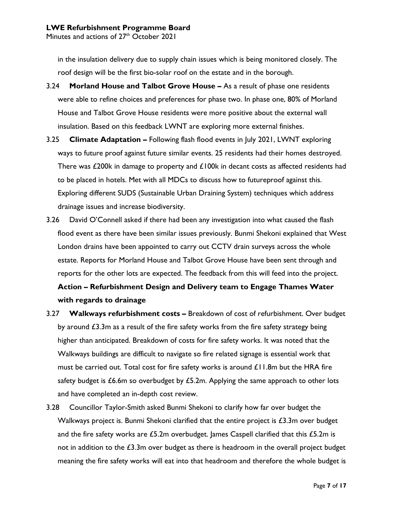in the insulation delivery due to supply chain issues which is being monitored closely. The roof design will be the first bio-solar roof on the estate and in the borough.

- 3.24 **Morland House and Talbot Grove House –** As a result of phase one residents were able to refine choices and preferences for phase two. In phase one, 80% of Morland House and Talbot Grove House residents were more positive about the external wall insulation. Based on this feedback LWNT are exploring more external finishes.
- 3.25 **Climate Adaptation –** Following flash flood events in July 2021, LWNT exploring ways to future proof against future similar events. 25 residents had their homes destroyed. There was  $£200k$  in damage to property and  $£100k$  in decant costs as affected residents had to be placed in hotels. Met with all MDCs to discuss how to futureproof against this. Exploring different SUDS (Sustainable Urban Draining System) techniques which address drainage issues and increase biodiversity.
- 3.26 David O'Connell asked if there had been any investigation into what caused the flash flood event as there have been similar issues previously. Bunmi Shekoni explained that West London drains have been appointed to carry out CCTV drain surveys across the whole estate. Reports for Morland House and Talbot Grove House have been sent through and reports for the other lots are expected. The feedback from this will feed into the project. **Action – Refurbishment Design and Delivery team to Engage Thames Water with regards to drainage**
- 3.27 **Walkways refurbishment costs –** Breakdown of cost of refurbishment. Over budget by around  $\epsilon$ 3.3m as a result of the fire safety works from the fire safety strategy being higher than anticipated. Breakdown of costs for fire safety works. It was noted that the Walkways buildings are difficult to navigate so fire related signage is essential work that must be carried out. Total cost for fire safety works is around  $£11.8m$  but the HRA fire safety budget is  $£6.6m$  so overbudget by  $£5.2m$ . Applying the same approach to other lots and have completed an in-depth cost review.
- 3.28 Councillor Taylor-Smith asked Bunmi Shekoni to clarify how far over budget the Walkways project is. Bunmi Shekoni clarified that the entire project is  $£3.3m$  over budget and the fire safety works are  $£5.2m$  overbudget. James Caspell clarified that this  $£5.2m$  is not in addition to the  $£3.3m$  over budget as there is headroom in the overall project budget meaning the fire safety works will eat into that headroom and therefore the whole budget is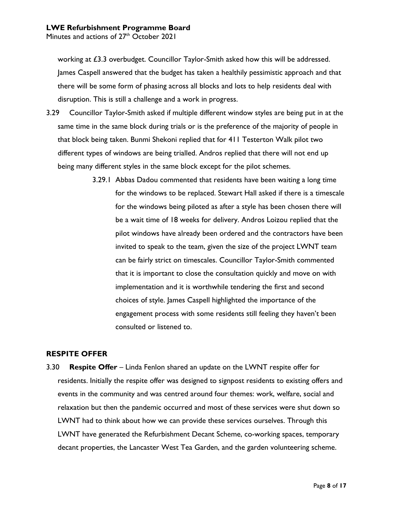Minutes and actions of 27<sup>th</sup> October 2021

working at £3.3 overbudget. Councillor Taylor-Smith asked how this will be addressed. James Caspell answered that the budget has taken a healthily pessimistic approach and that there will be some form of phasing across all blocks and lots to help residents deal with disruption. This is still a challenge and a work in progress.

- 3.29 Councillor Taylor-Smith asked if multiple different window styles are being put in at the same time in the same block during trials or is the preference of the majority of people in that block being taken. Bunmi Shekoni replied that for 411 Testerton Walk pilot two different types of windows are being trialled. Andros replied that there will not end up being many different styles in the same block except for the pilot schemes.
	- 3.29.1 Abbas Dadou commented that residents have been waiting a long time for the windows to be replaced. Stewart Hall asked if there is a timescale for the windows being piloted as after a style has been chosen there will be a wait time of 18 weeks for delivery. Andros Loizou replied that the pilot windows have already been ordered and the contractors have been invited to speak to the team, given the size of the project LWNT team can be fairly strict on timescales. Councillor Taylor-Smith commented that it is important to close the consultation quickly and move on with implementation and it is worthwhile tendering the first and second choices of style. James Caspell highlighted the importance of the engagement process with some residents still feeling they haven't been consulted or listened to.

#### **RESPITE OFFER**

3.30 **Respite Offer** – Linda Fenlon shared an update on the LWNT respite offer for residents. Initially the respite offer was designed to signpost residents to existing offers and events in the community and was centred around four themes: work, welfare, social and relaxation but then the pandemic occurred and most of these services were shut down so LWNT had to think about how we can provide these services ourselves. Through this LWNT have generated the Refurbishment Decant Scheme, co-working spaces, temporary decant properties, the Lancaster West Tea Garden, and the garden volunteering scheme.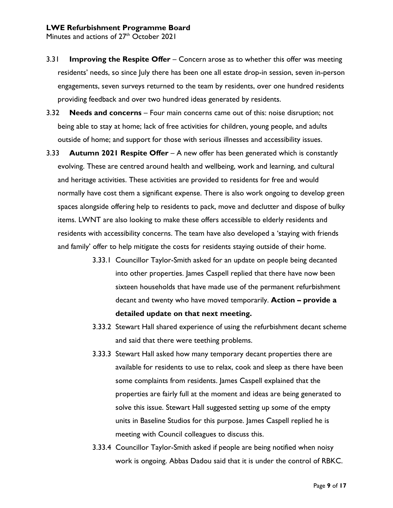Minutes and actions of 27<sup>th</sup> October 2021

- 3.31 **Improving the Respite Offer** Concern arose as to whether this offer was meeting residents' needs, so since July there has been one all estate drop-in session, seven in-person engagements, seven surveys returned to the team by residents, over one hundred residents providing feedback and over two hundred ideas generated by residents.
- 3.32 **Needs and concerns** Four main concerns came out of this: noise disruption; not being able to stay at home; lack of free activities for children, young people, and adults outside of home; and support for those with serious illnesses and accessibility issues.
- 3.33 **Autumn 2021 Respite Offer** A new offer has been generated which is constantly evolving. These are centred around health and wellbeing, work and learning, and cultural and heritage activities. These activities are provided to residents for free and would normally have cost them a significant expense. There is also work ongoing to develop green spaces alongside offering help to residents to pack, move and declutter and dispose of bulky items. LWNT are also looking to make these offers accessible to elderly residents and residents with accessibility concerns. The team have also developed a 'staying with friends and family' offer to help mitigate the costs for residents staying outside of their home.
	- 3.33.1 Councillor Taylor-Smith asked for an update on people being decanted into other properties. James Caspell replied that there have now been sixteen households that have made use of the permanent refurbishment decant and twenty who have moved temporarily. **Action – provide a detailed update on that next meeting.**
	- 3.33.2 Stewart Hall shared experience of using the refurbishment decant scheme and said that there were teething problems.
	- 3.33.3 Stewart Hall asked how many temporary decant properties there are available for residents to use to relax, cook and sleep as there have been some complaints from residents. James Caspell explained that the properties are fairly full at the moment and ideas are being generated to solve this issue. Stewart Hall suggested setting up some of the empty units in Baseline Studios for this purpose. James Caspell replied he is meeting with Council colleagues to discuss this.
	- 3.33.4 Councillor Taylor-Smith asked if people are being notified when noisy work is ongoing. Abbas Dadou said that it is under the control of RBKC.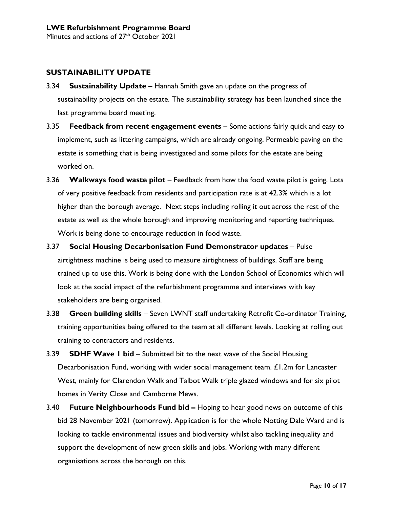## **SUSTAINABILITY UPDATE**

- 3.34 **Sustainability Update** Hannah Smith gave an update on the progress of sustainability projects on the estate. The sustainability strategy has been launched since the last programme board meeting.
- 3.35 **Feedback from recent engagement events** Some actions fairly quick and easy to implement, such as littering campaigns, which are already ongoing. Permeable paving on the estate is something that is being investigated and some pilots for the estate are being worked on.
- 3.36 **Walkways food waste pilot** Feedback from how the food waste pilot is going. Lots of very positive feedback from residents and participation rate is at 42.3% which is a lot higher than the borough average. Next steps including rolling it out across the rest of the estate as well as the whole borough and improving monitoring and reporting techniques. Work is being done to encourage reduction in food waste.
- 3.37 **Social Housing Decarbonisation Fund Demonstrator updates** Pulse airtightness machine is being used to measure airtightness of buildings. Staff are being trained up to use this. Work is being done with the London School of Economics which will look at the social impact of the refurbishment programme and interviews with key stakeholders are being organised.
- 3.38 **Green building skills** Seven LWNT staff undertaking Retrofit Co-ordinator Training, training opportunities being offered to the team at all different levels. Looking at rolling out training to contractors and residents.
- 3.39 **SDHF Wave 1 bid** Submitted bit to the next wave of the Social Housing Decarbonisation Fund, working with wider social management team. £1.2m for Lancaster West, mainly for Clarendon Walk and Talbot Walk triple glazed windows and for six pilot homes in Verity Close and Camborne Mews.
- 3.40 **Future Neighbourhoods Fund bid –** Hoping to hear good news on outcome of this bid 28 November 2021 (tomorrow). Application is for the whole Notting Dale Ward and is looking to tackle environmental issues and biodiversity whilst also tackling inequality and support the development of new green skills and jobs. Working with many different organisations across the borough on this.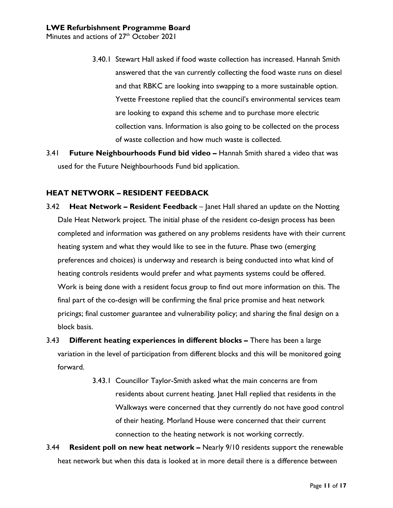- 3.40.1 Stewart Hall asked if food waste collection has increased. Hannah Smith answered that the van currently collecting the food waste runs on diesel and that RBKC are looking into swapping to a more sustainable option. Yvette Freestone replied that the council's environmental services team are looking to expand this scheme and to purchase more electric collection vans. Information is also going to be collected on the process of waste collection and how much waste is collected.
- 3.41 **Future Neighbourhoods Fund bid video –** Hannah Smith shared a video that was used for the Future Neighbourhoods Fund bid application.

## **HEAT NETWORK – RESIDENT FEEDBACK**

- 3.42 **Heat Network – Resident Feedback** Janet Hall shared an update on the Notting Dale Heat Network project. The initial phase of the resident co-design process has been completed and information was gathered on any problems residents have with their current heating system and what they would like to see in the future. Phase two (emerging preferences and choices) is underway and research is being conducted into what kind of heating controls residents would prefer and what payments systems could be offered. Work is being done with a resident focus group to find out more information on this. The final part of the co-design will be confirming the final price promise and heat network pricings; final customer guarantee and vulnerability policy; and sharing the final design on a block basis.
- 3.43 **Different heating experiences in different blocks –** There has been a large variation in the level of participation from different blocks and this will be monitored going forward.
	- 3.43.1 Councillor Taylor-Smith asked what the main concerns are from residents about current heating. Janet Hall replied that residents in the Walkways were concerned that they currently do not have good control of their heating. Morland House were concerned that their current connection to the heating network is not working correctly.
- 3.44 **Resident poll on new heat network –** Nearly 9/10 residents support the renewable heat network but when this data is looked at in more detail there is a difference between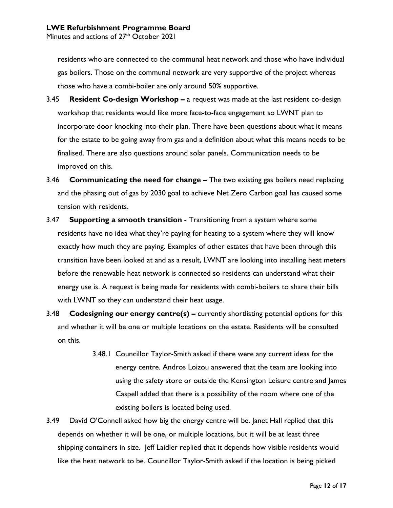residents who are connected to the communal heat network and those who have individual gas boilers. Those on the communal network are very supportive of the project whereas those who have a combi-boiler are only around 50% supportive.

- 3.45 **Resident Co-design Workshop –** a request was made at the last resident co-design workshop that residents would like more face-to-face engagement so LWNT plan to incorporate door knocking into their plan. There have been questions about what it means for the estate to be going away from gas and a definition about what this means needs to be finalised. There are also questions around solar panels. Communication needs to be improved on this.
- 3.46 **Communicating the need for change –** The two existing gas boilers need replacing and the phasing out of gas by 2030 goal to achieve Net Zero Carbon goal has caused some tension with residents.
- 3.47 **Supporting a smooth transition -** Transitioning from a system where some residents have no idea what they're paying for heating to a system where they will know exactly how much they are paying. Examples of other estates that have been through this transition have been looked at and as a result, LWNT are looking into installing heat meters before the renewable heat network is connected so residents can understand what their energy use is. A request is being made for residents with combi-boilers to share their bills with LWNT so they can understand their heat usage.
- 3.48 **Codesigning our energy centre(s) –** currently shortlisting potential options for this and whether it will be one or multiple locations on the estate. Residents will be consulted on this.
	- 3.48.1 Councillor Taylor-Smith asked if there were any current ideas for the energy centre. Andros Loizou answered that the team are looking into using the safety store or outside the Kensington Leisure centre and James Caspell added that there is a possibility of the room where one of the existing boilers is located being used.
- 3.49 David O'Connell asked how big the energy centre will be. Janet Hall replied that this depends on whether it will be one, or multiple locations, but it will be at least three shipping containers in size. Jeff Laidler replied that it depends how visible residents would like the heat network to be. Councillor Taylor-Smith asked if the location is being picked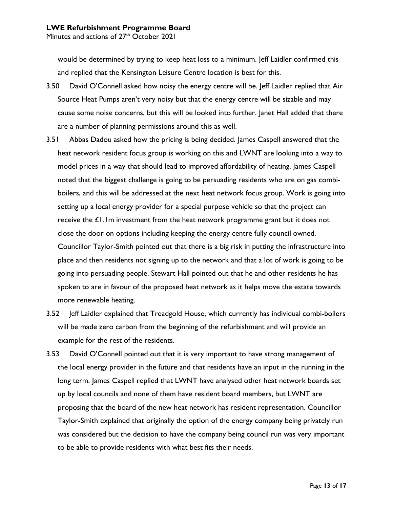would be determined by trying to keep heat loss to a minimum. Jeff Laidler confirmed this and replied that the Kensington Leisure Centre location is best for this.

- 3.50 David O'Connell asked how noisy the energy centre will be. Jeff Laidler replied that Air Source Heat Pumps aren't very noisy but that the energy centre will be sizable and may cause some noise concerns, but this will be looked into further. Janet Hall added that there are a number of planning permissions around this as well.
- 3.51 Abbas Dadou asked how the pricing is being decided. James Caspell answered that the heat network resident focus group is working on this and LWNT are looking into a way to model prices in a way that should lead to improved affordability of heating. James Caspell noted that the biggest challenge is going to be persuading residents who are on gas combiboilers, and this will be addressed at the next heat network focus group. Work is going into setting up a local energy provider for a special purpose vehicle so that the project can receive the  $\pounds1$ . Im investment from the heat network programme grant but it does not close the door on options including keeping the energy centre fully council owned. Councillor Taylor-Smith pointed out that there is a big risk in putting the infrastructure into place and then residents not signing up to the network and that a lot of work is going to be going into persuading people. Stewart Hall pointed out that he and other residents he has spoken to are in favour of the proposed heat network as it helps move the estate towards more renewable heating.
- 3.52 Jeff Laidler explained that Treadgold House, which currently has individual combi-boilers will be made zero carbon from the beginning of the refurbishment and will provide an example for the rest of the residents.
- 3.53 David O'Connell pointed out that it is very important to have strong management of the local energy provider in the future and that residents have an input in the running in the long term. James Caspell replied that LWNT have analysed other heat network boards set up by local councils and none of them have resident board members, but LWNT are proposing that the board of the new heat network has resident representation. Councillor Taylor-Smith explained that originally the option of the energy company being privately run was considered but the decision to have the company being council run was very important to be able to provide residents with what best fits their needs.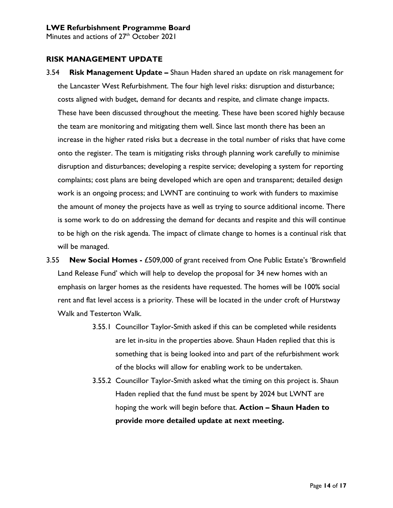Minutes and actions of 27<sup>th</sup> October 2021

### **RISK MANAGEMENT UPDATE**

- 3.54 **Risk Management Update –** Shaun Haden shared an update on risk management for the Lancaster West Refurbishment. The four high level risks: disruption and disturbance; costs aligned with budget, demand for decants and respite, and climate change impacts. These have been discussed throughout the meeting. These have been scored highly because the team are monitoring and mitigating them well. Since last month there has been an increase in the higher rated risks but a decrease in the total number of risks that have come onto the register. The team is mitigating risks through planning work carefully to minimise disruption and disturbances; developing a respite service; developing a system for reporting complaints; cost plans are being developed which are open and transparent; detailed design work is an ongoing process; and LWNT are continuing to work with funders to maximise the amount of money the projects have as well as trying to source additional income. There is some work to do on addressing the demand for decants and respite and this will continue to be high on the risk agenda. The impact of climate change to homes is a continual risk that will be managed.
- 3.55 **New Social Homes -** £509,000 of grant received from One Public Estate's 'Brownfield Land Release Fund' which will help to develop the proposal for 34 new homes with an emphasis on larger homes as the residents have requested. The homes will be 100% social rent and flat level access is a priority. These will be located in the under croft of Hurstway Walk and Testerton Walk.
	- 3.55.1 Councillor Taylor-Smith asked if this can be completed while residents are let in-situ in the properties above. Shaun Haden replied that this is something that is being looked into and part of the refurbishment work of the blocks will allow for enabling work to be undertaken.
	- 3.55.2 Councillor Taylor-Smith asked what the timing on this project is. Shaun Haden replied that the fund must be spent by 2024 but LWNT are hoping the work will begin before that. **Action – Shaun Haden to provide more detailed update at next meeting.**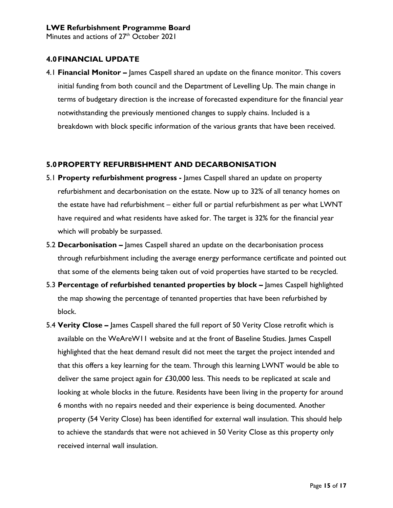## **4.0FINANCIAL UPDATE**

4.1 **Financial Monitor –** James Caspell shared an update on the finance monitor. This covers initial funding from both council and the Department of Levelling Up. The main change in terms of budgetary direction is the increase of forecasted expenditure for the financial year notwithstanding the previously mentioned changes to supply chains. Included is a breakdown with block specific information of the various grants that have been received.

## **5.0PROPERTY REFURBISHMENT AND DECARBONISATION**

- 5.1 **Property refurbishment progress -** James Caspell shared an update on property refurbishment and decarbonisation on the estate. Now up to 32% of all tenancy homes on the estate have had refurbishment – either full or partial refurbishment as per what LWNT have required and what residents have asked for. The target is 32% for the financial year which will probably be surpassed.
- 5.2 **Decarbonisation –** James Caspell shared an update on the decarbonisation process through refurbishment including the average energy performance certificate and pointed out that some of the elements being taken out of void properties have started to be recycled.
- 5.3 **Percentage of refurbished tenanted properties by block –** James Caspell highlighted the map showing the percentage of tenanted properties that have been refurbished by block.
- 5.4 **Verity Close –** James Caspell shared the full report of 50 Verity Close retrofit which is available on the WeAreW11 website and at the front of Baseline Studies. James Caspell highlighted that the heat demand result did not meet the target the project intended and that this offers a key learning for the team. Through this learning LWNT would be able to deliver the same project again for £30,000 less. This needs to be replicated at scale and looking at whole blocks in the future. Residents have been living in the property for around 6 months with no repairs needed and their experience is being documented. Another property (54 Verity Close) has been identified for external wall insulation. This should help to achieve the standards that were not achieved in 50 Verity Close as this property only received internal wall insulation.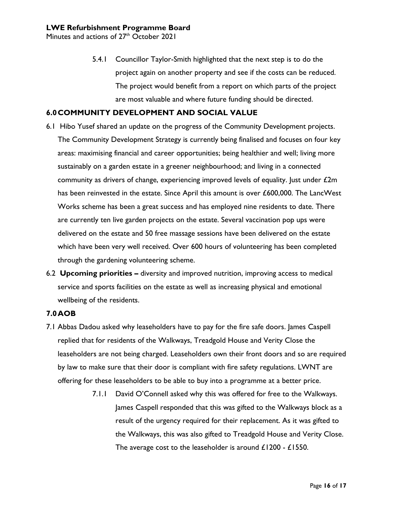5.4.1 Councillor Taylor-Smith highlighted that the next step is to do the project again on another property and see if the costs can be reduced. The project would benefit from a report on which parts of the project are most valuable and where future funding should be directed.

#### **6.0COMMUNITY DEVELOPMENT AND SOCIAL VALUE**

- 6.1 Hibo Yusef shared an update on the progress of the Community Development projects. The Community Development Strategy is currently being finalised and focuses on four key areas: maximising financial and career opportunities; being healthier and well; living more sustainably on a garden estate in a greener neighbourhood; and living in a connected community as drivers of change, experiencing improved levels of equality. Just under  $£2m$ has been reinvested in the estate. Since April this amount is over £600,000. The LancWest Works scheme has been a great success and has employed nine residents to date. There are currently ten live garden projects on the estate. Several vaccination pop ups were delivered on the estate and 50 free massage sessions have been delivered on the estate which have been very well received. Over 600 hours of volunteering has been completed through the gardening volunteering scheme.
- 6.2 **Upcoming priorities –** diversity and improved nutrition, improving access to medical service and sports facilities on the estate as well as increasing physical and emotional wellbeing of the residents.

#### **7.0AOB**

- 7.1 Abbas Dadou asked why leaseholders have to pay for the fire safe doors. James Caspell replied that for residents of the Walkways, Treadgold House and Verity Close the leaseholders are not being charged. Leaseholders own their front doors and so are required by law to make sure that their door is compliant with fire safety regulations. LWNT are offering for these leaseholders to be able to buy into a programme at a better price.
	- 7.1.1 David O'Connell asked why this was offered for free to the Walkways. James Caspell responded that this was gifted to the Walkways block as a result of the urgency required for their replacement. As it was gifted to the Walkways, this was also gifted to Treadgold House and Verity Close. The average cost to the leaseholder is around £1200 - £1550.